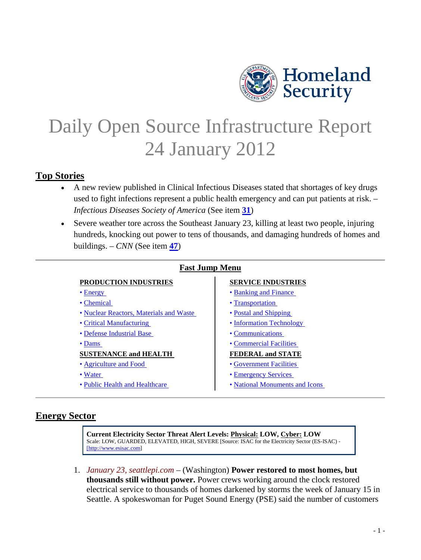

# <span id="page-0-1"></span>Daily Open Source Infrastructure Report 24 January 2012

# **Top Stories**

- A new review published in Clinical Infectious Diseases stated that shortages of key drugs used to fight infections represent a public health emergency and can put patients at risk. – *Infectious Diseases Society of America* (See item **[31](#page-12-0)**)
- Severe weather tore across the Southeast January 23, killing at least two people, injuring hundreds, knocking out power to tens of thousands, and damaging hundreds of homes and buildings. – *CNN* (See item **[47](#page-18-0)**)

|  | <b>Fast Jump Menu</b> |
|--|-----------------------|
|  |                       |

#### **PRODUCTION INDUSTRIES** SERVICE INDUSTRIES

- 
- 
- • [Nuclear Reactors, Materials and Waste](#page-2-1)  Postal and Shipping
- 
- • [Defense Industrial Base](#page-4-1)  Communications
- 

#### **SUSTENANCE and HEALTH FEDERAL and STATE**

- 
- 
- 

- • [Energy](#page-0-0)  Banking and Finance
- • [Chemical](#page-2-0)  Transportation
	-
- • [Critical Manufacturing](#page-3-0)  Information Technology
	-
- • [Dams](#page-21-0)  Commercial Facilities

- • [Agriculture and Food](#page-9-1)  **Government Facilities**
- • [Water](#page-11-0)  Emergency Services
- • [Public Health and Healthcare](#page-12-1)  National Monuments and Icons

# <span id="page-0-0"></span>**Energy Sector**

**Current Electricity Sector Threat Alert Levels: Physical: LOW, Cyber: LOW** Scale: LOW, GUARDED, ELEVATED, HIGH, SEVERE [Source: ISAC for the Electricity Sector (ES-ISAC) - [\[http://www.esisac.com\]](http://www.esisac.com/)

1. *January 23, seattlepi.com* – (Washington) **Power restored to most homes, but thousands still without power.** Power crews working around the clock restored electrical service to thousands of homes darkened by storms the week of January 15 in Seattle. A spokeswoman for Puget Sound Energy (PSE) said the number of customers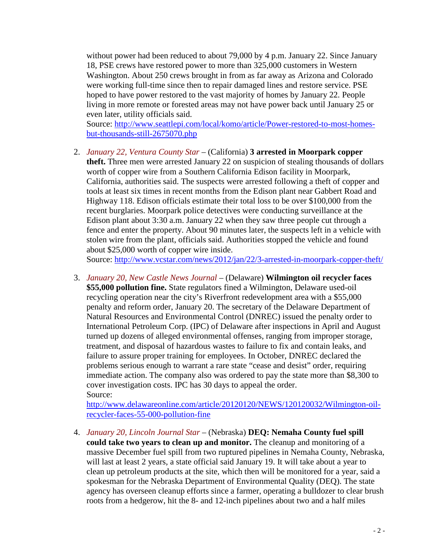without power had been reduced to about 79,000 by 4 p.m. January 22. Since January 18, PSE crews have restored power to more than 325,000 customers in Western Washington. About 250 crews brought in from as far away as Arizona and Colorado were working full-time since then to repair damaged lines and restore service. PSE hoped to have power restored to the vast majority of homes by January 22. People living in more remote or forested areas may not have power back until January 25 or even later, utility officials said.

Source: [http://www.seattlepi.com/local/komo/article/Power-restored-to-most-homes](http://www.seattlepi.com/local/komo/article/Power-restored-to-most-homes-but-thousands-still-2675070.php)[but-thousands-still-2675070.php](http://www.seattlepi.com/local/komo/article/Power-restored-to-most-homes-but-thousands-still-2675070.php)

2. *January 22, Ventura County Star* – (California) **3 arrested in Moorpark copper theft.** Three men were arrested January 22 on suspicion of stealing thousands of dollars worth of copper wire from a Southern California Edison facility in Moorpark, California, authorities said. The suspects were arrested following a theft of copper and tools at least six times in recent months from the Edison plant near Gabbert Road and Highway 118. Edison officials estimate their total loss to be over \$100,000 from the recent burglaries. Moorpark police detectives were conducting surveillance at the Edison plant about 3:30 a.m. January 22 when they saw three people cut through a fence and enter the property. About 90 minutes later, the suspects left in a vehicle with stolen wire from the plant, officials said. Authorities stopped the vehicle and found about \$25,000 worth of copper wire inside.

Source:<http://www.vcstar.com/news/2012/jan/22/3-arrested-in-moorpark-copper-theft/>

<span id="page-1-0"></span>3. *January 20, New Castle News Journal* – (Delaware) **Wilmington oil recycler faces \$55,000 pollution fine.** State regulators fined a Wilmington, Delaware used-oil recycling operation near the city's Riverfront redevelopment area with a \$55,000 penalty and reform order, January 20. The secretary of the Delaware Department of Natural Resources and Environmental Control (DNREC) issued the penalty order to International Petroleum Corp. (IPC) of Delaware after inspections in April and August turned up dozens of alleged environmental offenses, ranging from improper storage, treatment, and disposal of hazardous wastes to failure to fix and contain leaks, and failure to assure proper training for employees. In October, DNREC declared the problems serious enough to warrant a rare state "cease and desist" order, requiring immediate action. The company also was ordered to pay the state more than \$8,300 to cover investigation costs. IPC has 30 days to appeal the order. Source:

[http://www.delawareonline.com/article/20120120/NEWS/120120032/Wilmington-oil](http://www.delawareonline.com/article/20120120/NEWS/120120032/Wilmington-oil-recycler-faces-55-000-pollution-fine)[recycler-faces-55-000-pollution-fine](http://www.delawareonline.com/article/20120120/NEWS/120120032/Wilmington-oil-recycler-faces-55-000-pollution-fine)

<span id="page-1-1"></span>4. *January 20, Lincoln Journal Star* – (Nebraska) **DEQ: Nemaha County fuel spill could take two years to clean up and monitor.** The cleanup and monitoring of a massive December fuel spill from two ruptured pipelines in Nemaha County, Nebraska, will last at least 2 years, a state official said January 19. It will take about a year to clean up petroleum products at the site, which then will be monitored for a year, said a spokesman for the Nebraska Department of Environmental Quality (DEQ). The state agency has overseen cleanup efforts since a farmer, operating a bulldozer to clear brush roots from a hedgerow, hit the 8- and 12-inch pipelines about two and a half miles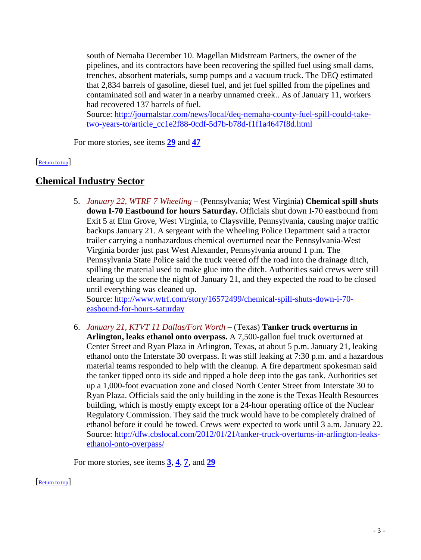south of Nemaha December 10. Magellan Midstream Partners, the owner of the pipelines, and its contractors have been recovering the spilled fuel using small dams, trenches, absorbent materials, sump pumps and a vacuum truck. The DEQ estimated that 2,834 barrels of gasoline, diesel fuel, and jet fuel spilled from the pipelines and contaminated soil and water in a nearby unnamed creek.. As of January 11, workers had recovered 137 barrels of fuel.

Source: [http://journalstar.com/news/local/deq-nemaha-county-fuel-spill-could-take](http://journalstar.com/news/local/deq-nemaha-county-fuel-spill-could-take-two-years-to/article_cc1e2f88-0cdf-5d7b-b78d-f1f1a4647f8d.html)[two-years-to/article\\_cc1e2f88-0cdf-5d7b-b78d-f1f1a4647f8d.html](http://journalstar.com/news/local/deq-nemaha-county-fuel-spill-could-take-two-years-to/article_cc1e2f88-0cdf-5d7b-b78d-f1f1a4647f8d.html)

<span id="page-2-0"></span>For more stories, see items **[29](#page-11-1)** and **[47](#page-18-0)**

### [\[Return to top\]](#page-0-1)

# <span id="page-2-3"></span>**Chemical Industry Sector**

5. *January 22, WTRF 7 Wheeling* – (Pennsylvania; West Virginia) **Chemical spill shuts down I-70 Eastbound for hours Saturday.** Officials shut down I-70 eastbound from Exit 5 at Elm Grove, West Virginia, to Claysville, Pennsylvania, causing major traffic backups January 21. A sergeant with the Wheeling Police Department said a tractor trailer carrying a nonhazardous chemical overturned near the Pennsylvania-West Virginia border just past West Alexander, Pennsylvania around 1 p.m. The Pennsylvania State Police said the truck veered off the road into the drainage ditch, spilling the material used to make glue into the ditch. Authorities said crews were still clearing up the scene the night of January 21, and they expected the road to be closed until everything was cleaned up.

Source: [http://www.wtrf.com/story/16572499/chemical-spill-shuts-down-i-70](http://www.wtrf.com/story/16572499/chemical-spill-shuts-down-i-70-easbound-for-hours-saturday) [easbound-for-hours-saturday](http://www.wtrf.com/story/16572499/chemical-spill-shuts-down-i-70-easbound-for-hours-saturday)

<span id="page-2-2"></span>6. *January 21, KTVT 11 Dallas/Fort Worth* – (Texas) **Tanker truck overturns in Arlington, leaks ethanol onto overpass.** A 7,500-gallon fuel truck overturned at Center Street and Ryan Plaza in Arlington, Texas, at about 5 p.m. January 21, leaking ethanol onto the Interstate 30 overpass. It was still leaking at 7:30 p.m. and a hazardous material teams responded to help with the cleanup. A fire department spokesman said the tanker tipped onto its side and ripped a hole deep into the gas tank. Authorities set up a 1,000-foot evacuation zone and closed North Center Street from Interstate 30 to Ryan Plaza. Officials said the only building in the zone is the Texas Health Resources building, which is mostly empty except for a 24-hour operating office of the Nuclear Regulatory Commission. They said the truck would have to be completely drained of ethanol before it could be towed. Crews were expected to work until 3 a.m. January 22. Source: [http://dfw.cbslocal.com/2012/01/21/tanker-truck-overturns-in-arlington-leaks](http://dfw.cbslocal.com/2012/01/21/tanker-truck-overturns-in-arlington-leaks-ethanol-onto-overpass/)[ethanol-onto-overpass/](http://dfw.cbslocal.com/2012/01/21/tanker-truck-overturns-in-arlington-leaks-ethanol-onto-overpass/)

<span id="page-2-1"></span>For more stories, see items **[3](#page-1-0)**, **[4](#page-1-1)**, **[7](#page-3-1)**, and **[29](#page-11-1)**

[\[Return to top\]](#page-0-1)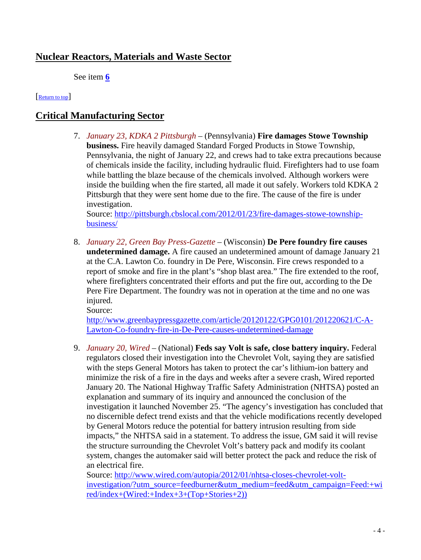# **Nuclear Reactors, Materials and Waste Sector**

<span id="page-3-0"></span>See item **[6](#page-2-2)**

#### [\[Return to top\]](#page-0-1)

# <span id="page-3-1"></span>**Critical Manufacturing Sector**

7. *January 23, KDKA 2 Pittsburgh* – (Pennsylvania) **Fire damages Stowe Township business.** Fire heavily damaged Standard Forged Products in Stowe Township, Pennsylvania, the night of January 22, and crews had to take extra precautions because of chemicals inside the facility, including hydraulic fluid. Firefighters had to use foam while battling the blaze because of the chemicals involved. Although workers were inside the building when the fire started, all made it out safely. Workers told KDKA 2 Pittsburgh that they were sent home due to the fire. The cause of the fire is under investigation.

Source: [http://pittsburgh.cbslocal.com/2012/01/23/fire-damages-stowe-township](http://pittsburgh.cbslocal.com/2012/01/23/fire-damages-stowe-township-business/)[business/](http://pittsburgh.cbslocal.com/2012/01/23/fire-damages-stowe-township-business/)

8. *January 22, Green Bay Press-Gazette* – (Wisconsin) **De Pere foundry fire causes undetermined damage.** A fire caused an undetermined amount of damage January 21 at the C.A. Lawton Co. foundry in De Pere, Wisconsin. Fire crews responded to a report of smoke and fire in the plant's "shop blast area." The fire extended to the roof, where firefighters concentrated their efforts and put the fire out, according to the De Pere Fire Department. The foundry was not in operation at the time and no one was injured. Source:

[http://www.greenbaypressgazette.com/article/20120122/GPG0101/201220621/C-A-](http://www.greenbaypressgazette.com/article/20120122/GPG0101/201220621/C-A-Lawton-Co-foundry-fire-in-De-Pere-causes-undetermined-damage)[Lawton-Co-foundry-fire-in-De-Pere-causes-undetermined-damage](http://www.greenbaypressgazette.com/article/20120122/GPG0101/201220621/C-A-Lawton-Co-foundry-fire-in-De-Pere-causes-undetermined-damage)

9. *January 20, Wired* – (National) **Feds say Volt is safe, close battery inquiry.** Federal regulators closed their investigation into the Chevrolet Volt, saying they are satisfied with the steps General Motors has taken to protect the car's lithium-ion battery and minimize the risk of a fire in the days and weeks after a severe crash, Wired reported January 20. The National Highway Traffic Safety Administration (NHTSA) posted an explanation and summary of its inquiry and announced the conclusion of the investigation it launched November 25. "The agency's investigation has concluded that no discernible defect trend exists and that the vehicle modifications recently developed by General Motors reduce the potential for battery intrusion resulting from side impacts," the NHTSA said in a statement. To address the issue, GM said it will revise the structure surrounding the Chevrolet Volt's battery pack and modify its coolant system, changes the automaker said will better protect the pack and reduce the risk of an electrical fire.

Source: [http://www.wired.com/autopia/2012/01/nhtsa-closes-chevrolet-volt](http://www.wired.com/autopia/2012/01/nhtsa-closes-chevrolet-volt-investigation/?utm_source=feedburner&utm_medium=feed&utm_campaign=Feed:+wired/index+(Wired:+Index+3+(Top+Stories+2)))[investigation/?utm\\_source=feedburner&utm\\_medium=feed&utm\\_campaign=Feed:+wi](http://www.wired.com/autopia/2012/01/nhtsa-closes-chevrolet-volt-investigation/?utm_source=feedburner&utm_medium=feed&utm_campaign=Feed:+wired/index+(Wired:+Index+3+(Top+Stories+2))) [red/index+\(Wired:+Index+3+\(Top+Stories+2\)\)](http://www.wired.com/autopia/2012/01/nhtsa-closes-chevrolet-volt-investigation/?utm_source=feedburner&utm_medium=feed&utm_campaign=Feed:+wired/index+(Wired:+Index+3+(Top+Stories+2)))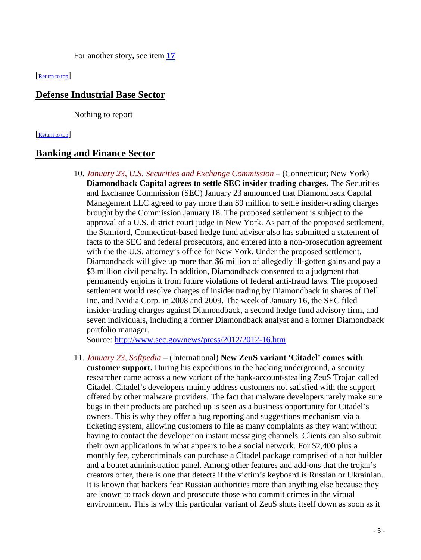<span id="page-4-1"></span>For another story, see item **[17](#page-7-1)**

[\[Return to top\]](#page-0-1) 

# **Defense Industrial Base Sector**

<span id="page-4-0"></span>Nothing to report

#### [\[Return to top\]](#page-0-1)

### <span id="page-4-2"></span>**Banking and Finance Sector**

10. *January 23, U.S. Securities and Exchange Commission* – (Connecticut; New York) **Diamondback Capital agrees to settle SEC insider trading charges.** The Securities and Exchange Commission (SEC) January 23 announced that Diamondback Capital Management LLC agreed to pay more than \$9 million to settle insider-trading charges brought by the Commission January 18. The proposed settlement is subject to the approval of a U.S. district court judge in New York. As part of the proposed settlement, the Stamford, Connecticut-based hedge fund adviser also has submitted a statement of facts to the SEC and federal prosecutors, and entered into a non-prosecution agreement with the the U.S. attorney's office for New York. Under the proposed settlement, Diamondback will give up more than \$6 million of allegedly ill-gotten gains and pay a \$3 million civil penalty. In addition, Diamondback consented to a judgment that permanently enjoins it from future violations of federal anti-fraud laws. The proposed settlement would resolve charges of insider trading by Diamondback in shares of Dell Inc. and Nvidia Corp. in 2008 and 2009. The week of January 16, the SEC filed insider-trading charges against Diamondback, a second hedge fund advisory firm, and seven individuals, including a former Diamondback analyst and a former Diamondback portfolio manager.

Source:<http://www.sec.gov/news/press/2012/2012-16.htm>

<span id="page-4-3"></span>11. *January 23, Softpedia* – (International) **New ZeuS variant 'Citadel' comes with customer support.** During his expeditions in the hacking underground, a security researcher came across a new variant of the bank-account-stealing ZeuS Trojan called Citadel. Citadel's developers mainly address customers not satisfied with the support offered by other malware providers. The fact that malware developers rarely make sure bugs in their products are patched up is seen as a business opportunity for Citadel's owners. This is why they offer a bug reporting and suggestions mechanism via a ticketing system, allowing customers to file as many complaints as they want without having to contact the developer on instant messaging channels. Clients can also submit their own applications in what appears to be a social network. For \$2,400 plus a monthly fee, cybercriminals can purchase a Citadel package comprised of a bot builder and a botnet administration panel. Among other features and add-ons that the trojan's creators offer, there is one that detects if the victim's keyboard is Russian or Ukrainian. It is known that hackers fear Russian authorities more than anything else because they are known to track down and prosecute those who commit crimes in the virtual environment. This is why this particular variant of ZeuS shuts itself down as soon as it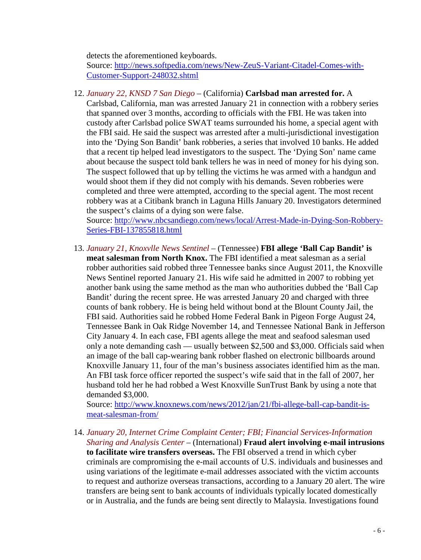detects the aforementioned keyboards.

Source: [http://news.softpedia.com/news/New-ZeuS-Variant-Citadel-Comes-with-](http://news.softpedia.com/news/New-ZeuS-Variant-Citadel-Comes-with-Customer-Support-248032.shtml)[Customer-Support-248032.shtml](http://news.softpedia.com/news/New-ZeuS-Variant-Citadel-Comes-with-Customer-Support-248032.shtml)

12. *January 22, KNSD 7 San Diego* – (California) **Carlsbad man arrested for.** A

Carlsbad, California, man was arrested January 21 in connection with a robbery series that spanned over 3 months, according to officials with the FBI. He was taken into custody after Carlsbad police SWAT teams surrounded his home, a special agent with the FBI said. He said the suspect was arrested after a multi-jurisdictional investigation into the 'Dying Son Bandit' bank robberies, a series that involved 10 banks. He added that a recent tip helped lead investigators to the suspect. The 'Dying Son' name came about because the suspect told bank tellers he was in need of money for his dying son. The suspect followed that up by telling the victims he was armed with a handgun and would shoot them if they did not comply with his demands. Seven robberies were completed and three were attempted, according to the special agent. The most recent robbery was at a Citibank branch in Laguna Hills January 20. Investigators determined the suspect's claims of a dying son were false.

Source: [http://www.nbcsandiego.com/news/local/Arrest-Made-in-Dying-Son-Robbery-](http://www.nbcsandiego.com/news/local/Arrest-Made-in-Dying-Son-Robbery-Series-FBI-137855818.html)[Series-FBI-137855818.html](http://www.nbcsandiego.com/news/local/Arrest-Made-in-Dying-Son-Robbery-Series-FBI-137855818.html)

13. *January 21, Knoxvlle News Sentinel* – (Tennessee) **FBI allege 'Ball Cap Bandit' is meat salesman from North Knox.** The FBI identified a meat salesman as a serial robber authorities said robbed three Tennessee banks since August 2011, the Knoxville News Sentinel reported January 21. His wife said he admitted in 2007 to robbing yet another bank using the same method as the man who authorities dubbed the 'Ball Cap Bandit' during the recent spree. He was arrested January 20 and charged with three counts of bank robbery. He is being held without bond at the Blount County Jail, the FBI said. Authorities said he robbed Home Federal Bank in Pigeon Forge August 24, Tennessee Bank in Oak Ridge November 14, and Tennessee National Bank in Jefferson City January 4. In each case, FBI agents allege the meat and seafood salesman used only a note demanding cash — usually between \$2,500 and \$3,000. Officials said when an image of the ball cap-wearing bank robber flashed on electronic billboards around Knoxville January 11, four of the man's business associates identified him as the man. An FBI task force officer reported the suspect's wife said that in the fall of 2007, her husband told her he had robbed a West Knoxville SunTrust Bank by using a note that demanded \$3,000.

Source: [http://www.knoxnews.com/news/2012/jan/21/fbi-allege-ball-cap-bandit-is](http://www.knoxnews.com/news/2012/jan/21/fbi-allege-ball-cap-bandit-is-meat-salesman-from/)[meat-salesman-from/](http://www.knoxnews.com/news/2012/jan/21/fbi-allege-ball-cap-bandit-is-meat-salesman-from/)

<span id="page-5-0"></span>14. *January 20, Internet Crime Complaint Center; FBI; Financial Services-Information Sharing and Analysis Center* – (International) **Fraud alert involving e-mail intrusions to facilitate wire transfers overseas.** The FBI observed a trend in which cyber criminals are compromising the e-mail accounts of U.S. individuals and businesses and using variations of the legitimate e-mail addresses associated with the victim accounts to request and authorize overseas transactions, according to a January 20 alert. The wire transfers are being sent to bank accounts of individuals typically located domestically or in Australia, and the funds are being sent directly to Malaysia. Investigations found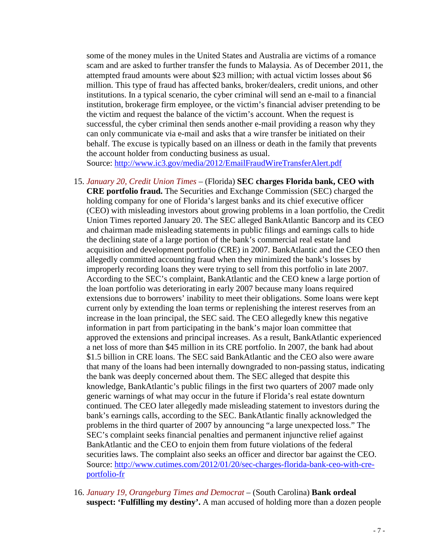some of the money mules in the United States and Australia are victims of a romance scam and are asked to further transfer the funds to Malaysia. As of December 2011, the attempted fraud amounts were about \$23 million; with actual victim losses about \$6 million. This type of fraud has affected banks, broker/dealers, credit unions, and other institutions. In a typical scenario, the cyber criminal will send an e-mail to a financial institution, brokerage firm employee, or the victim's financial adviser pretending to be the victim and request the balance of the victim's account. When the request is successful, the cyber criminal then sends another e-mail providing a reason why they can only communicate via e-mail and asks that a wire transfer be initiated on their behalf. The excuse is typically based on an illness or death in the family that prevents the account holder from conducting business as usual.

Source:<http://www.ic3.gov/media/2012/EmailFraudWireTransferAlert.pdf>

- 15. *January 20, Credit Union Times* (Florida) **SEC charges Florida bank, CEO with CRE portfolio fraud.** The Securities and Exchange Commission (SEC) charged the holding company for one of Florida's largest banks and its chief executive officer (CEO) with misleading investors about growing problems in a loan portfolio, the Credit Union Times reported January 20. The SEC alleged BankAtlantic Bancorp and its CEO and chairman made misleading statements in public filings and earnings calls to hide the declining state of a large portion of the bank's commercial real estate land acquisition and development portfolio (CRE) in 2007. BankAtlantic and the CEO then allegedly committed accounting fraud when they minimized the bank's losses by improperly recording loans they were trying to sell from this portfolio in late 2007. According to the SEC's complaint, BankAtlantic and the CEO knew a large portion of the loan portfolio was deteriorating in early 2007 because many loans required extensions due to borrowers' inability to meet their obligations. Some loans were kept current only by extending the loan terms or replenishing the interest reserves from an increase in the loan principal, the SEC said. The CEO allegedly knew this negative information in part from participating in the bank's major loan committee that approved the extensions and principal increases. As a result, BankAtlantic experienced a net loss of more than \$45 million in its CRE portfolio. In 2007, the bank had about \$1.5 billion in CRE loans. The SEC said BankAtlantic and the CEO also were aware that many of the loans had been internally downgraded to non-passing status, indicating the bank was deeply concerned about them. The SEC alleged that despite this knowledge, BankAtlantic's public filings in the first two quarters of 2007 made only generic warnings of what may occur in the future if Florida's real estate downturn continued. The CEO later allegedly made misleading statement to investors during the bank's earnings calls, according to the SEC. BankAtlantic finally acknowledged the problems in the third quarter of 2007 by announcing "a large unexpected loss." The SEC's complaint seeks financial penalties and permanent injunctive relief against BankAtlantic and the CEO to enjoin them from future violations of the federal securities laws. The complaint also seeks an officer and director bar against the CEO. Source: [http://www.cutimes.com/2012/01/20/sec-charges-florida-bank-ceo-with-cre](http://www.cutimes.com/2012/01/20/sec-charges-florida-bank-ceo-with-cre-portfolio-fr)[portfolio-fr](http://www.cutimes.com/2012/01/20/sec-charges-florida-bank-ceo-with-cre-portfolio-fr)
- 16. *January 19, Orangeburg Times and Democrat* (South Carolina) **Bank ordeal suspect: 'Fulfilling my destiny'.** A man accused of holding more than a dozen people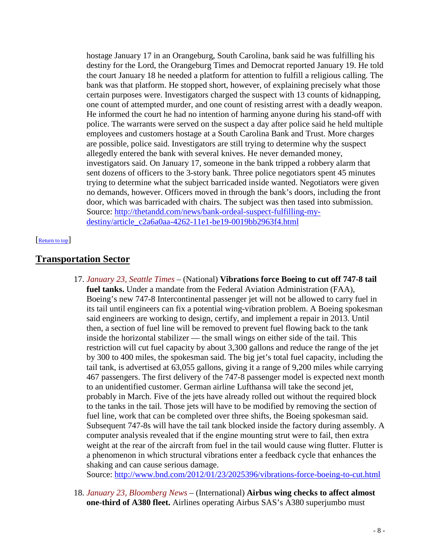hostage January 17 in an Orangeburg, South Carolina, bank said he was fulfilling his destiny for the Lord, the Orangeburg Times and Democrat reported January 19. He told the court January 18 he needed a platform for attention to fulfill a religious calling. The bank was that platform. He stopped short, however, of explaining precisely what those certain purposes were. Investigators charged the suspect with 13 counts of kidnapping, one count of attempted murder, and one count of resisting arrest with a deadly weapon. He informed the court he had no intention of harming anyone during his stand-off with police. The warrants were served on the suspect a day after police said he held multiple employees and customers hostage at a South Carolina Bank and Trust. More charges are possible, police said. Investigators are still trying to determine why the suspect allegedly entered the bank with several knives. He never demanded money, investigators said. On January 17, someone in the bank tripped a robbery alarm that sent dozens of officers to the 3-story bank. Three police negotiators spent 45 minutes trying to determine what the subject barricaded inside wanted. Negotiators were given no demands, however. Officers moved in through the bank's doors, including the front door, which was barricaded with chairs. The subject was then tased into submission. Source: [http://thetandd.com/news/bank-ordeal-suspect-fulfilling-my](http://thetandd.com/news/bank-ordeal-suspect-fulfilling-my-destiny/article_c2a6a0aa-4262-11e1-be19-0019bb2963f4.html)[destiny/article\\_c2a6a0aa-4262-11e1-be19-0019bb2963f4.html](http://thetandd.com/news/bank-ordeal-suspect-fulfilling-my-destiny/article_c2a6a0aa-4262-11e1-be19-0019bb2963f4.html)

#### <span id="page-7-0"></span>[\[Return to top\]](#page-0-1)

#### <span id="page-7-1"></span>**Transportation Sector**

17. *January 23, Seattle Times* – (National) **Vibrations force Boeing to cut off 747-8 tail fuel tanks.** Under a mandate from the Federal Aviation Administration (FAA), Boeing's new 747-8 Intercontinental passenger jet will not be allowed to carry fuel in its tail until engineers can fix a potential wing-vibration problem. A Boeing spokesman said engineers are working to design, certify, and implement a repair in 2013. Until then, a section of fuel line will be removed to prevent fuel flowing back to the tank inside the horizontal stabilizer — the small wings on either side of the tail. This restriction will cut fuel capacity by about 3,300 gallons and reduce the range of the jet by 300 to 400 miles, the spokesman said. The big jet's total fuel capacity, including the tail tank, is advertised at 63,055 gallons, giving it a range of 9,200 miles while carrying 467 passengers. The first delivery of the 747-8 passenger model is expected next month to an unidentified customer. German airline Lufthansa will take the second jet, probably in March. Five of the jets have already rolled out without the required block to the tanks in the tail. Those jets will have to be modified by removing the section of fuel line, work that can be completed over three shifts, the Boeing spokesman said. Subsequent 747-8s will have the tail tank blocked inside the factory during assembly. A computer analysis revealed that if the engine mounting strut were to fail, then extra weight at the rear of the aircraft from fuel in the tail would cause wing flutter. Flutter is a phenomenon in which structural vibrations enter a feedback cycle that enhances the shaking and can cause serious damage.

Source:<http://www.bnd.com/2012/01/23/2025396/vibrations-force-boeing-to-cut.html>

18. *January 23, Bloomberg News* – (International) **Airbus wing checks to affect almost one-third of A380 fleet.** Airlines operating Airbus SAS's A380 superjumbo must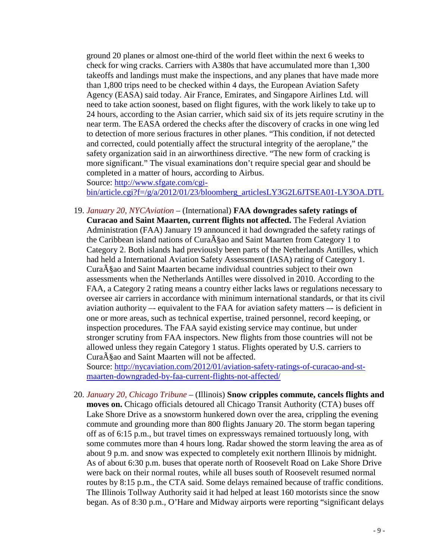ground 20 planes or almost one-third of the world fleet within the next 6 weeks to check for wing cracks. Carriers with A380s that have accumulated more than 1,300 takeoffs and landings must make the inspections, and any planes that have made more than 1,800 trips need to be checked within 4 days, the European Aviation Safety Agency (EASA) said today. Air France, Emirates, and Singapore Airlines Ltd. will need to take action soonest, based on flight figures, with the work likely to take up to 24 hours, according to the Asian carrier, which said six of its jets require scrutiny in the near term. The EASA ordered the checks after the discovery of cracks in one wing led to detection of more serious fractures in other planes. "This condition, if not detected and corrected, could potentially affect the structural integrity of the aeroplane," the safety organization said in an airworthiness directive. "The new form of cracking is more significant." The visual examinations don't require special gear and should be completed in a matter of hours, according to Airbus.

Source: [http://www.sfgate.com/cgi-](http://www.sfgate.com/cgi-bin/article.cgi?f=/g/a/2012/01/23/bloomberg_articlesLY3G2L6JTSEA01-LY3OA.DTL)

[bin/article.cgi?f=/g/a/2012/01/23/bloomberg\\_articlesLY3G2L6JTSEA01-LY3OA.DTL](http://www.sfgate.com/cgi-bin/article.cgi?f=/g/a/2012/01/23/bloomberg_articlesLY3G2L6JTSEA01-LY3OA.DTL)

19. *January 20, NYCAviation* – (International) **FAA downgrades safety ratings of Curacao and Saint Maarten, current flights not affected.** The Federal Aviation Administration (FAA) January 19 announced it had downgraded the safety ratings of the Caribbean island nations of Cura $\tilde{A}$ §ao and Saint Maarten from Category 1 to Category 2. Both islands had previously been parts of the Netherlands Antilles, which had held a International Aviation Safety Assessment (IASA) rating of Category 1. Cura $\tilde{A}$ §ao and Saint Maarten became individual countries subject to their own assessments when the Netherlands Antilles were dissolved in 2010. According to the FAA, a Category 2 rating means a country either lacks laws or regulations necessary to oversee air carriers in accordance with minimum international standards, or that its civil aviation authority –- equivalent to the FAA for aviation safety matters –- is deficient in one or more areas, such as technical expertise, trained personnel, record keeping, or inspection procedures. The FAA sayid existing service may continue, but under stronger scrutiny from FAA inspectors. New flights from those countries will not be allowed unless they regain Category 1 status. Flights operated by U.S. carriers to  $Cura\tilde{A}$ §ao and Saint Maarten will not be affected.

Source: [http://nycaviation.com/2012/01/aviation-safety-ratings-of-curacao-and-st](http://nycaviation.com/2012/01/aviation-safety-ratings-of-curacao-and-st-maarten-downgraded-by-faa-current-flights-not-affected/)[maarten-downgraded-by-faa-current-flights-not-affected/](http://nycaviation.com/2012/01/aviation-safety-ratings-of-curacao-and-st-maarten-downgraded-by-faa-current-flights-not-affected/)

20. *January 20, Chicago Tribune* – (Illinois) **Snow cripples commute, cancels flights and moves on.** Chicago officials detoured all Chicago Transit Authority (CTA) buses off Lake Shore Drive as a snowstorm hunkered down over the area, crippling the evening commute and grounding more than 800 flights January 20. The storm began tapering off as of 6:15 p.m., but travel times on expressways remained tortuously long, with some commutes more than 4 hours long. Radar showed the storm leaving the area as of about 9 p.m. and snow was expected to completely exit northern Illinois by midnight. As of about 6:30 p.m. buses that operate north of Roosevelt Road on Lake Shore Drive were back on their normal routes, while all buses south of Roosevelt resumed normal routes by 8:15 p.m., the CTA said. Some delays remained because of traffic conditions. The Illinois Tollway Authority said it had helped at least 160 motorists since the snow began. As of 8:30 p.m., O'Hare and Midway airports were reporting "significant delays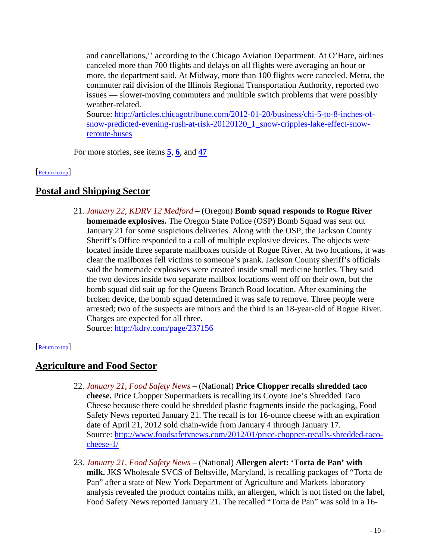and cancellations,'' according to the Chicago Aviation Department. At O'Hare, airlines canceled more than 700 flights and delays on all flights were averaging an hour or more, the department said. At Midway, more than 100 flights were canceled. Metra, the commuter rail division of the Illinois Regional Transportation Authority, reported two issues — slower-moving commuters and multiple switch problems that were possibly weather-related.

Source: [http://articles.chicagotribune.com/2012-01-20/business/chi-5-to-8-inches-of](http://articles.chicagotribune.com/2012-01-20/business/chi-5-to-8-inches-of-snow-predicted-evening-rush-at-risk-20120120_1_snow-cripples-lake-effect-snow-reroute-buses)[snow-predicted-evening-rush-at-risk-20120120\\_1\\_snow-cripples-lake-effect-snow](http://articles.chicagotribune.com/2012-01-20/business/chi-5-to-8-inches-of-snow-predicted-evening-rush-at-risk-20120120_1_snow-cripples-lake-effect-snow-reroute-buses)[reroute-buses](http://articles.chicagotribune.com/2012-01-20/business/chi-5-to-8-inches-of-snow-predicted-evening-rush-at-risk-20120120_1_snow-cripples-lake-effect-snow-reroute-buses)

<span id="page-9-0"></span>For more stories, see items **[5](#page-2-3)**, **[6](#page-2-2)**, and **[47](#page-18-0)**

#### [\[Return to top\]](#page-0-1)

# **Postal and Shipping Sector**

21. *January 22, KDRV 12 Medford* – (Oregon) **Bomb squad responds to Rogue River homemade explosives.** The Oregon State Police (OSP) Bomb Squad was sent out January 21 for some suspicious deliveries. Along with the OSP, the Jackson County Sheriff's Office responded to a call of multiple explosive devices. The objects were located inside three separate mailboxes outside of Rogue River. At two locations, it was clear the mailboxes fell victims to someone's prank. Jackson County sheriff's officials said the homemade explosives were created inside small medicine bottles. They said the two devices inside two separate mailbox locations went off on their own, but the bomb squad did suit up for the Queens Branch Road location. After examining the broken device, the bomb squad determined it was safe to remove. Three people were arrested; two of the suspects are minors and the third is an 18-year-old of Rogue River. Charges are expected for all three.

<span id="page-9-1"></span>Source:<http://kdrv.com/page/237156>

#### [\[Return to top\]](#page-0-1)

# **Agriculture and Food Sector**

- 22. *January 21, Food Safety News* (National) **Price Chopper recalls shredded taco cheese.** Price Chopper Supermarkets is recalling its Coyote Joe's Shredded Taco Cheese because there could be shredded plastic fragments inside the packaging, Food Safety News reported January 21. The recall is for 16-ounce cheese with an expiration date of April 21, 2012 sold chain-wide from January 4 through January 17. Source: [http://www.foodsafetynews.com/2012/01/price-chopper-recalls-shredded-taco](http://www.foodsafetynews.com/2012/01/price-chopper-recalls-shredded-taco-cheese-1/)[cheese-1/](http://www.foodsafetynews.com/2012/01/price-chopper-recalls-shredded-taco-cheese-1/)
- 23. *January 21, Food Safety News* (National) **Allergen alert: 'Torta de Pan' with milk.** JKS Wholesale SVCS of Beltsville, Maryland, is recalling packages of "Torta de Pan" after a state of New York Department of Agriculture and Markets laboratory analysis revealed the product contains milk, an allergen, which is not listed on the label, Food Safety News reported January 21. The recalled "Torta de Pan" was sold in a 16-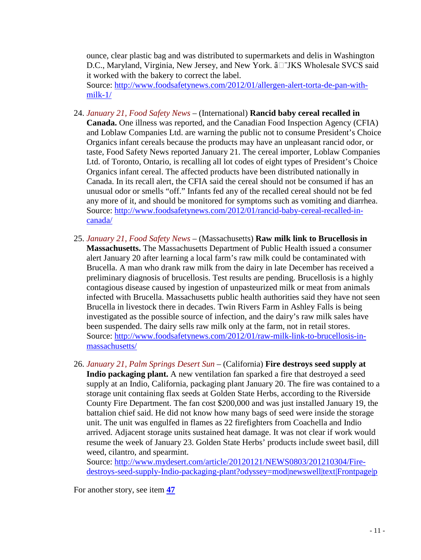ounce, clear plastic bag and was distributed to supermarkets and delis in Washington D.C., Maryland, Virginia, New Jersey, and New York. â□ JKS Wholesale SVCS said it worked with the bakery to correct the label.

Source: [http://www.foodsafetynews.com/2012/01/allergen-alert-torta-de-pan-with](http://www.foodsafetynews.com/2012/01/allergen-alert-torta-de-pan-with-milk-1/)[milk-1/](http://www.foodsafetynews.com/2012/01/allergen-alert-torta-de-pan-with-milk-1/)

- 24. *January 21, Food Safety News* (International) **Rancid baby cereal recalled in Canada.** One illness was reported, and the Canadian Food Inspection Agency (CFIA) and Loblaw Companies Ltd. are warning the public not to consume President's Choice Organics infant cereals because the products may have an unpleasant rancid odor, or taste, Food Safety News reported January 21. The cereal importer, Loblaw Companies Ltd. of Toronto, Ontario, is recalling all lot codes of eight types of President's Choice Organics infant cereal. The affected products have been distributed nationally in Canada. In its recall alert, the CFIA said the cereal should not be consumed if has an unusual odor or smells "off." Infants fed any of the recalled cereal should not be fed any more of it, and should be monitored for symptoms such as vomiting and diarrhea. Source: [http://www.foodsafetynews.com/2012/01/rancid-baby-cereal-recalled-in](http://www.foodsafetynews.com/2012/01/rancid-baby-cereal-recalled-in-canada/)[canada/](http://www.foodsafetynews.com/2012/01/rancid-baby-cereal-recalled-in-canada/)
- 25. *January 21, Food Safety News* (Massachusetts) **Raw milk link to Brucellosis in Massachusetts.** The Massachusetts Department of Public Health issued a consumer alert January 20 after learning a local farm's raw milk could be contaminated with Brucella. A man who drank raw milk from the dairy in late December has received a preliminary diagnosis of brucellosis. Test results are pending. Brucellosis is a highly contagious disease caused by ingestion of unpasteurized milk or meat from animals infected with Brucella. Massachusetts public health authorities said they have not seen Brucella in livestock there in decades. Twin Rivers Farm in Ashley Falls is being investigated as the possible source of infection, and the dairy's raw milk sales have been suspended. The dairy sells raw milk only at the farm, not in retail stores. Source: [http://www.foodsafetynews.com/2012/01/raw-milk-link-to-brucellosis-in](http://www.foodsafetynews.com/2012/01/raw-milk-link-to-brucellosis-in-massachusetts/)[massachusetts/](http://www.foodsafetynews.com/2012/01/raw-milk-link-to-brucellosis-in-massachusetts/)
- 26. *January 21, Palm Springs Desert Sun* (California) **Fire destroys seed supply at Indio packaging plant.** A new ventilation fan sparked a fire that destroyed a seed supply at an Indio, California, packaging plant January 20. The fire was contained to a storage unit containing flax seeds at Golden State Herbs, according to the Riverside County Fire Department. The fan cost \$200,000 and was just installed January 19, the battalion chief said. He did not know how many bags of seed were inside the storage unit. The unit was engulfed in flames as 22 firefighters from Coachella and Indio arrived. Adjacent storage units sustained heat damage. It was not clear if work would resume the week of January 23. Golden State Herbs' products include sweet basil, dill weed, cilantro, and spearmint.

Source: [http://www.mydesert.com/article/20120121/NEWS0803/201210304/Fire](http://www.mydesert.com/article/20120121/NEWS0803/201210304/Fire-destroys-seed-supply-Indio-packaging-plant?odyssey=mod|newswell|text|Frontpage|p)[destroys-seed-supply-Indio-packaging-plant?odyssey=mod|newswell|text|Frontpage|p](http://www.mydesert.com/article/20120121/NEWS0803/201210304/Fire-destroys-seed-supply-Indio-packaging-plant?odyssey=mod|newswell|text|Frontpage|p)

For another story, see item **[47](#page-18-0)**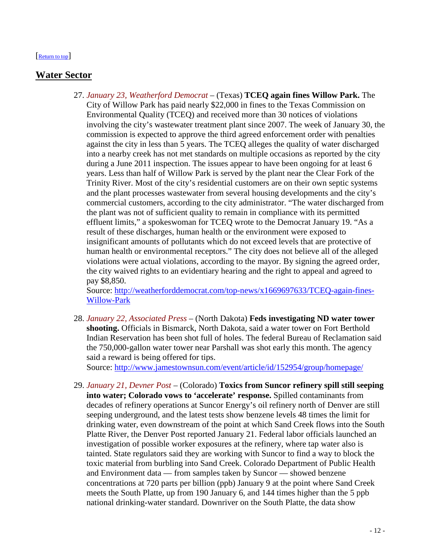#### <span id="page-11-0"></span>[\[Return to top\]](#page-0-1)

## **Water Sector**

27. *January 23, Weatherford Democrat* – (Texas) **TCEQ again fines Willow Park.** The City of Willow Park has paid nearly \$22,000 in fines to the Texas Commission on Environmental Quality (TCEQ) and received more than 30 notices of violations involving the city's wastewater treatment plant since 2007. The week of January 30, the commission is expected to approve the third agreed enforcement order with penalties against the city in less than 5 years. The TCEQ alleges the quality of water discharged into a nearby creek has not met standards on multiple occasions as reported by the city during a June 2011 inspection. The issues appear to have been ongoing for at least 6 years. Less than half of Willow Park is served by the plant near the Clear Fork of the Trinity River. Most of the city's residential customers are on their own septic systems and the plant processes wastewater from several housing developments and the city's commercial customers, according to the city administrator. "The water discharged from the plant was not of sufficient quality to remain in compliance with its permitted effluent limits," a spokeswoman for TCEQ wrote to the Democrat January 19. "As a result of these discharges, human health or the environment were exposed to insignificant amounts of pollutants which do not exceed levels that are protective of human health or environmental receptors." The city does not believe all of the alleged violations were actual violations, according to the mayor. By signing the agreed order, the city waived rights to an evidentiary hearing and the right to appeal and agreed to pay \$8,850.

Source: [http://weatherforddemocrat.com/top-news/x1669697633/TCEQ-again-fines-](http://weatherforddemocrat.com/top-news/x1669697633/TCEQ-again-fines-Willow-Park)[Willow-Park](http://weatherforddemocrat.com/top-news/x1669697633/TCEQ-again-fines-Willow-Park)

28. *January 22, Associated Press* – (North Dakota) **Feds investigating ND water tower shooting.** Officials in Bismarck, North Dakota, said a water tower on Fort Berthold Indian Reservation has been shot full of holes. The federal Bureau of Reclamation said the 750,000-gallon water tower near Parshall was shot early this month. The agency said a reward is being offered for tips.

Source:<http://www.jamestownsun.com/event/article/id/152954/group/homepage/>

<span id="page-11-1"></span>29. *January 21, Devner Post* – (Colorado) **Toxics from Suncor refinery spill still seeping into water; Colorado vows to 'accelerate' response.** Spilled contaminants from decades of refinery operations at Suncor Energy's oil refinery north of Denver are still seeping underground, and the latest tests show benzene levels 48 times the limit for drinking water, even downstream of the point at which Sand Creek flows into the South Platte River, the Denver Post reported January 21. Federal labor officials launched an investigation of possible worker exposures at the refinery, where tap water also is tainted. State regulators said they are working with Suncor to find a way to block the toxic material from burbling into Sand Creek. Colorado Department of Public Health and Environment data — from samples taken by Suncor — showed benzene concentrations at 720 parts per billion (ppb) January 9 at the point where Sand Creek meets the South Platte, up from 190 January 6, and 144 times higher than the 5 ppb national drinking-water standard. Downriver on the South Platte, the data show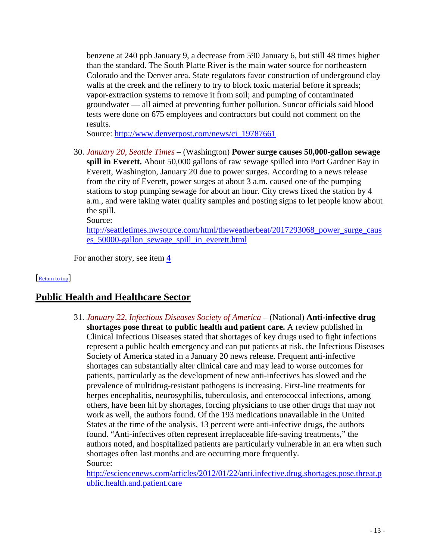benzene at 240 ppb January 9, a decrease from 590 January 6, but still 48 times higher than the standard. The South Platte River is the main water source for northeastern Colorado and the Denver area. State regulators favor construction of underground clay walls at the creek and the refinery to try to block toxic material before it spreads; vapor-extraction systems to remove it from soil; and pumping of contaminated groundwater — all aimed at preventing further pollution. Suncor officials said blood tests were done on 675 employees and contractors but could not comment on the results.

Source: [http://www.denverpost.com/news/ci\\_19787661](http://www.denverpost.com/news/ci_19787661)

30. *January 20, Seattle Times* – (Washington) **Power surge causes 50,000-gallon sewage spill in Everett.** About 50,000 gallons of raw sewage spilled into Port Gardner Bay in Everett, Washington, January 20 due to power surges. According to a news release from the city of Everett, power surges at about 3 a.m. caused one of the pumping stations to stop pumping sewage for about an hour. City crews fixed the station by 4 a.m., and were taking water quality samples and posting signs to let people know about the spill.

Source:

[http://seattletimes.nwsource.com/html/theweatherbeat/2017293068\\_power\\_surge\\_caus](http://seattletimes.nwsource.com/html/theweatherbeat/2017293068_power_surge_causes_50000-gallon_sewage_spill_in_everett.html) [es\\_50000-gallon\\_sewage\\_spill\\_in\\_everett.html](http://seattletimes.nwsource.com/html/theweatherbeat/2017293068_power_surge_causes_50000-gallon_sewage_spill_in_everett.html)

<span id="page-12-1"></span>For another story, see item **[4](#page-1-1)**

#### [\[Return to top\]](#page-0-1)

# <span id="page-12-0"></span>**Public Health and Healthcare Sector**

31. *January 22, Infectious Diseases Society of America* – (National) **Anti-infective drug shortages pose threat to public health and patient care.** A review published in Clinical Infectious Diseases stated that shortages of key drugs used to fight infections represent a public health emergency and can put patients at risk, the Infectious Diseases Society of America stated in a January 20 news release. Frequent anti-infective shortages can substantially alter clinical care and may lead to worse outcomes for patients, particularly as the development of new anti-infectives has slowed and the prevalence of multidrug-resistant pathogens is increasing. First-line treatments for herpes encephalitis, neurosyphilis, tuberculosis, and enterococcal infections, among others, have been hit by shortages, forcing physicians to use other drugs that may not work as well, the authors found. Of the 193 medications unavailable in the United States at the time of the analysis, 13 percent were anti-infective drugs, the authors found. "Anti-infectives often represent irreplaceable life-saving treatments," the authors noted, and hospitalized patients are particularly vulnerable in an era when such shortages often last months and are occurring more frequently. Source:

[http://esciencenews.com/articles/2012/01/22/anti.infective.drug.shortages.pose.threat.p](http://esciencenews.com/articles/2012/01/22/anti.infective.drug.shortages.pose.threat.public.health.and.patient.care) [ublic.health.and.patient.care](http://esciencenews.com/articles/2012/01/22/anti.infective.drug.shortages.pose.threat.public.health.and.patient.care)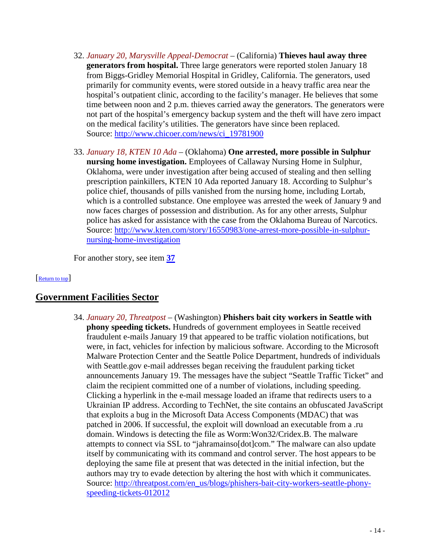- 32. *January 20, Marysville Appeal-Democrat* (California) **Thieves haul away three generators from hospital.** Three large generators were reported stolen January 18 from Biggs-Gridley Memorial Hospital in Gridley, California. The generators, used primarily for community events, were stored outside in a heavy traffic area near the hospital's outpatient clinic, according to the facility's manager. He believes that some time between noon and 2 p.m. thieves carried away the generators. The generators were not part of the hospital's emergency backup system and the theft will have zero impact on the medical facility's utilities. The generators have since been replaced. Source: [http://www.chicoer.com/news/ci\\_19781900](http://www.chicoer.com/news/ci_19781900)
- 33. *January 18, KTEN 10 Ada* (Oklahoma) **One arrested, more possible in Sulphur nursing home investigation.** Employees of Callaway Nursing Home in Sulphur, Oklahoma, were under investigation after being accused of stealing and then selling prescription painkillers, KTEN 10 Ada reported January 18. According to Sulphur's police chief, thousands of pills vanished from the nursing home, including Lortab, which is a controlled substance. One employee was arrested the week of January 9 and now faces charges of possession and distribution. As for any other arrests, Sulphur police has asked for assistance with the case from the Oklahoma Bureau of Narcotics. Source: [http://www.kten.com/story/16550983/one-arrest-more-possible-in-sulphur](http://www.kten.com/story/16550983/one-arrest-more-possible-in-sulphur-nursing-home-investigation)[nursing-home-investigation](http://www.kten.com/story/16550983/one-arrest-more-possible-in-sulphur-nursing-home-investigation)

<span id="page-13-0"></span>For another story, see item **[37](#page-14-1)**

#### [\[Return](#page-0-1) to top]

# <span id="page-13-1"></span>**Government Facilities Sector**

34. *January 20, Threatpost* – (Washington) **Phishers bait city workers in Seattle with phony speeding tickets.** Hundreds of government employees in Seattle received fraudulent e-mails January 19 that appeared to be traffic violation notifications, but were, in fact, vehicles for infection by malicious software. According to the Microsoft Malware Protection Center and the Seattle Police Department, hundreds of individuals with Seattle.gov e-mail addresses began receiving the fraudulent parking ticket announcements January 19. The messages have the subject "Seattle Traffic Ticket" and claim the recipient committed one of a number of violations, including speeding. Clicking a hyperlink in the e-mail message loaded an iframe that redirects users to a Ukrainian IP address. According to TechNet, the site contains an obfuscated JavaScript that exploits a bug in the Microsoft Data Access Components (MDAC) that was patched in 2006. If successful, the exploit will download an executable from a .ru domain. Windows is detecting the file as Worm:Won32/Cridex.B. The malware attempts to connect via SSL to "jahramainso[dot]com." The malware can also update itself by communicating with its command and control server. The host appears to be deploying the same file at present that was detected in the initial infection, but the authors may try to evade detection by altering the host with which it communicates. Source: [http://threatpost.com/en\\_us/blogs/phishers-bait-city-workers-seattle-phony](http://threatpost.com/en_us/blogs/phishers-bait-city-workers-seattle-phony-speeding-tickets-012012)[speeding-tickets-012012](http://threatpost.com/en_us/blogs/phishers-bait-city-workers-seattle-phony-speeding-tickets-012012)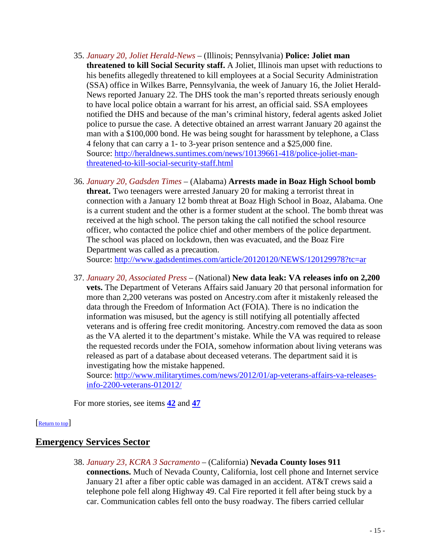- 35. *January 20, Joliet Herald-News* (Illinois; Pennsylvania) **Police: Joliet man threatened to kill Social Security staff.** A Joliet, Illinois man upset with reductions to his benefits allegedly threatened to kill employees at a Social Security Administration (SSA) office in Wilkes Barre, Pennsylvania, the week of January 16, the Joliet Herald-News reported January 22. The DHS took the man's reported threats seriously enough to have local police obtain a warrant for his arrest, an official said. SSA employees notified the DHS and because of the man's criminal history, federal agents asked Joliet police to pursue the case. A detective obtained an arrest warrant January 20 against the man with a \$100,000 bond. He was being sought for harassment by telephone, a Class 4 felony that can carry a 1- to 3-year prison sentence and a \$25,000 fine. Source: [http://heraldnews.suntimes.com/news/10139661-418/police-joliet-man](http://heraldnews.suntimes.com/news/10139661-418/police-joliet-man-threatened-to-kill-social-security-staff.html)[threatened-to-kill-social-security-staff.html](http://heraldnews.suntimes.com/news/10139661-418/police-joliet-man-threatened-to-kill-social-security-staff.html)
- 36. *January 20, Gadsden Times* (Alabama) **Arrests made in Boaz High School bomb threat.** Two teenagers were arrested January 20 for making a terrorist threat in connection with a January 12 bomb threat at Boaz High School in Boaz, Alabama. One is a current student and the other is a former student at the school. The bomb threat was received at the high school. The person taking the call notified the school resource officer, who contacted the police chief and other members of the police department. The school was placed on lockdown, then was evacuated, and the Boaz Fire Department was called as a precaution.

Source:<http://www.gadsdentimes.com/article/20120120/NEWS/120129978?tc=ar>

<span id="page-14-1"></span>37. *January 20, Associated Press* – (National) **New data leak: VA releases info on 2,200 vets.** The Department of Veterans Affairs said January 20 that personal information for more than 2,200 veterans was posted on Ancestry.com after it mistakenly released the data through the Freedom of Information Act (FOIA). There is no indication the information was misused, but the agency is still notifying all potentially affected veterans and is offering free credit monitoring. Ancestry.com removed the data as soon as the VA alerted it to the department's mistake. While the VA was required to release the requested records under the FOIA, somehow information about living veterans was released as part of a database about deceased veterans. The department said it is investigating how the mistake happened.

Source: [http://www.militarytimes.com/news/2012/01/ap-veterans-affairs-va-releases](http://www.militarytimes.com/news/2012/01/ap-veterans-affairs-va-releases-info-2200-veterans-012012/)[info-2200-veterans-012012/](http://www.militarytimes.com/news/2012/01/ap-veterans-affairs-va-releases-info-2200-veterans-012012/)

<span id="page-14-0"></span>For more stories, see items **[42](#page-16-1)** and **[47](#page-18-0)**

#### [\[Return to top\]](#page-0-1)

# <span id="page-14-2"></span>**Emergency Services Sector**

38. *January 23, KCRA 3 Sacramento* – (California) **Nevada County loses 911 connections.** Much of Nevada County, California, lost cell phone and Internet service January 21 after a fiber optic cable was damaged in an accident. AT&T crews said a telephone pole fell along Highway 49. Cal Fire reported it fell after being stuck by a car. Communication cables fell onto the busy roadway. The fibers carried cellular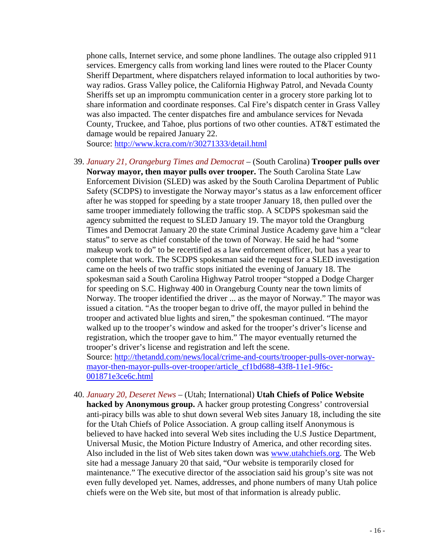phone calls, Internet service, and some phone landlines. The outage also crippled 911 services. Emergency calls from working land lines were routed to the Placer County Sheriff Department, where dispatchers relayed information to local authorities by twoway radios. Grass Valley police, the California Highway Patrol, and Nevada County Sheriffs set up an impromptu communication center in a grocery store parking lot to share information and coordinate responses. Cal Fire's dispatch center in Grass Valley was also impacted. The center dispatches fire and ambulance services for Nevada County, Truckee, and Tahoe, plus portions of two other counties. AT&T estimated the damage would be repaired January 22.

Source:<http://www.kcra.com/r/30271333/detail.html>

39. *January 21, Orangeburg Times and Democrat* – (South Carolina) **Trooper pulls over Norway mayor, then mayor pulls over trooper.** The South Carolina State Law Enforcement Division (SLED) was asked by the South Carolina Department of Public Safety (SCDPS) to investigate the Norway mayor's status as a law enforcement officer after he was stopped for speeding by a state trooper January 18, then pulled over the same trooper immediately following the traffic stop. A SCDPS spokesman said the agency submitted the request to SLED January 19. The mayor told the Orangburg Times and Democrat January 20 the state Criminal Justice Academy gave him a "clear status" to serve as chief constable of the town of Norway. He said he had "some makeup work to do" to be recertified as a law enforcement officer, but has a year to complete that work. The SCDPS spokesman said the request for a SLED investigation came on the heels of two traffic stops initiated the evening of January 18. The spokesman said a South Carolina Highway Patrol trooper "stopped a Dodge Charger for speeding on S.C. Highway 400 in Orangeburg County near the town limits of Norway. The trooper identified the driver ... as the mayor of Norway." The mayor was issued a citation. "As the trooper began to drive off, the mayor pulled in behind the trooper and activated blue lights and siren," the spokesman continued. "The mayor walked up to the trooper's window and asked for the trooper's driver's license and registration, which the trooper gave to him." The mayor eventually returned the trooper's driver's license and registration and left the scene. Source: [http://thetandd.com/news/local/crime-and-courts/trooper-pulls-over-norway](http://thetandd.com/news/local/crime-and-courts/trooper-pulls-over-norway-mayor-then-mayor-pulls-over-trooper/article_cf1bd688-43f8-11e1-9f6c-001871e3ce6c.html)[mayor-then-mayor-pulls-over-trooper/article\\_cf1bd688-43f8-11e1-9f6c-](http://thetandd.com/news/local/crime-and-courts/trooper-pulls-over-norway-mayor-then-mayor-pulls-over-trooper/article_cf1bd688-43f8-11e1-9f6c-001871e3ce6c.html)

[001871e3ce6c.html](http://thetandd.com/news/local/crime-and-courts/trooper-pulls-over-norway-mayor-then-mayor-pulls-over-trooper/article_cf1bd688-43f8-11e1-9f6c-001871e3ce6c.html)

<span id="page-15-0"></span>40. *January 20, Deseret News* – (Utah; International) **Utah Chiefs of Police Website hacked by Anonymous group.** A hacker group protesting Congress' controversial anti-piracy bills was able to shut down several Web sites January 18, including the site for the Utah Chiefs of Police Association. A group calling itself Anonymous is believed to have hacked into several Web sites including the U.S Justice Department, Universal Music, the Motion Picture Industry of America, and other recording sites. Also included in the list of Web sites taken down was [www.utahchiefs.org.](http://www.utahchiefs.org/) The Web site had a message January 20 that said, "Our website is temporarily closed for maintenance." The executive director of the association said his group's site was not even fully developed yet. Names, addresses, and phone numbers of many Utah police chiefs were on the Web site, but most of that information is already public.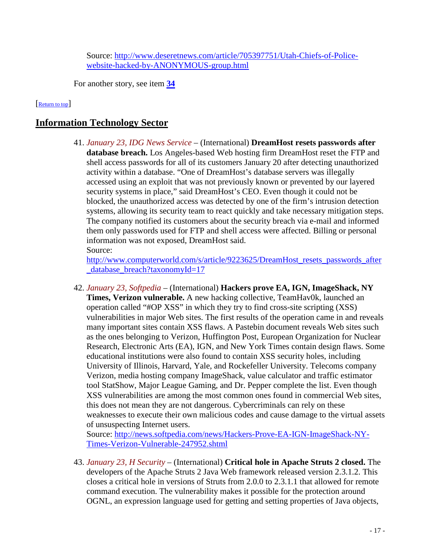Source: [http://www.deseretnews.com/article/705397751/Utah-Chiefs-of-Police](http://www.deseretnews.com/article/705397751/Utah-Chiefs-of-Police-website-hacked-by-ANONYMOUS-group.html)[website-hacked-by-ANONYMOUS-group.html](http://www.deseretnews.com/article/705397751/Utah-Chiefs-of-Police-website-hacked-by-ANONYMOUS-group.html)

<span id="page-16-0"></span>For another story, see item **[34](#page-13-1)**

#### [\[Return to top\]](#page-0-1)

# **Information Technology Sector**

41. *January 23, IDG News Service* – (International) **DreamHost resets passwords after database breach.** Los Angeles-based Web hosting firm DreamHost reset the FTP and shell access passwords for all of its customers January 20 after detecting unauthorized activity within a database. "One of DreamHost's database servers was illegally accessed using an exploit that was not previously known or prevented by our layered security systems in place," said DreamHost's CEO. Even though it could not be blocked, the unauthorized access was detected by one of the firm's intrusion detection systems, allowing its security team to react quickly and take necessary mitigation steps. The company notified its customers about the security breach via e-mail and informed them only passwords used for FTP and shell access were affected. Billing or personal information was not exposed, DreamHost said. Source:

[http://www.computerworld.com/s/article/9223625/DreamHost\\_resets\\_passwords\\_after](http://www.computerworld.com/s/article/9223625/DreamHost_resets_passwords_after_database_breach?taxonomyId=17) database\_breach?taxonomyId=17

<span id="page-16-1"></span>42. *January 23, Softpedia* – (International) **Hackers prove EA, IGN, ImageShack, NY Times, Verizon vulnerable.** A new hacking collective, TeamHav0k, launched an operation called "#OP XSS" in which they try to find cross-site scripting (XSS) vulnerabilities in major Web sites. The first results of the operation came in and reveals many important sites contain XSS flaws. A Pastebin document reveals Web sites such as the ones belonging to Verizon, Huffington Post, European Organization for Nuclear Research, Electronic Arts (EA), IGN, and New York Times contain design flaws. Some educational institutions were also found to contain XSS security holes, including University of Illinois, Harvard, Yale, and Rockefeller University. Telecoms company Verizon, media hosting company ImageShack, value calculator and traffic estimator tool StatShow, Major League Gaming, and Dr. Pepper complete the list. Even though XSS vulnerabilities are among the most common ones found in commercial Web sites, this does not mean they are not dangerous. Cybercriminals can rely on these weaknesses to execute their own malicious codes and cause damage to the virtual assets of unsuspecting Internet users.

Source: [http://news.softpedia.com/news/Hackers-Prove-EA-IGN-ImageShack-NY-](http://news.softpedia.com/news/Hackers-Prove-EA-IGN-ImageShack-NY-Times-Verizon-Vulnerable-247952.shtml)[Times-Verizon-Vulnerable-247952.shtml](http://news.softpedia.com/news/Hackers-Prove-EA-IGN-ImageShack-NY-Times-Verizon-Vulnerable-247952.shtml)

43. *January 23, H Security* – (International) **Critical hole in Apache Struts 2 closed.** The developers of the Apache Struts 2 Java Web framework released version 2.3.1.2. This closes a critical hole in versions of Struts from 2.0.0 to 2.3.1.1 that allowed for remote command execution. The vulnerability makes it possible for the protection around OGNL, an expression language used for getting and setting properties of Java objects,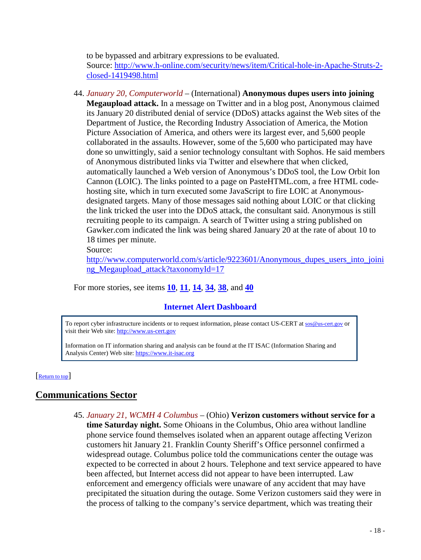to be bypassed and arbitrary expressions to be evaluated. Source: [http://www.h-online.com/security/news/item/Critical-hole-in-Apache-Struts-2](http://www.h-online.com/security/news/item/Critical-hole-in-Apache-Struts-2-closed-1419498.html) [closed-1419498.html](http://www.h-online.com/security/news/item/Critical-hole-in-Apache-Struts-2-closed-1419498.html)

44. *January 20, Computerworld* – (International) **Anonymous dupes users into joining Megaupload attack.** In a message on Twitter and in a blog post, Anonymous claimed its January 20 distributed denial of service (DDoS) attacks against the Web sites of the Department of Justice, the Recording Industry Association of America, the Motion Picture Association of America, and others were its largest ever, and 5,600 people collaborated in the assaults. However, some of the 5,600 who participated may have done so unwittingly, said a senior technology consultant with Sophos. He said members of Anonymous distributed links via Twitter and elsewhere that when clicked, automatically launched a Web version of Anonymous's DDoS tool, the Low Orbit Ion Cannon (LOIC). The links pointed to a page on PasteHTML.com, a free HTML codehosting site, which in turn executed some JavaScript to fire LOIC at Anonymousdesignated targets. Many of those messages said nothing about LOIC or that clicking the link tricked the user into the DDoS attack, the consultant said. Anonymous is still recruiting people to its campaign. A search of Twitter using a string published on Gawker.com indicated the link was being shared January 20 at the rate of about 10 to 18 times per minute.

Source:

[http://www.computerworld.com/s/article/9223601/Anonymous\\_dupes\\_users\\_into\\_joini](http://www.computerworld.com/s/article/9223601/Anonymous_dupes_users_into_joining_Megaupload_attack?taxonomyId=17) [ng\\_Megaupload\\_attack?taxonomyId=17](http://www.computerworld.com/s/article/9223601/Anonymous_dupes_users_into_joining_Megaupload_attack?taxonomyId=17)

For more stories, see items **[10](#page-4-2)**, **[11](#page-4-3)**, **[14](#page-5-0)**, **[34](#page-13-1)**, **[38](#page-14-2)**, and **[40](#page-15-0)**

# **Internet Alert Dashboard**

To report cyber infrastructure incidents or to request information, please contact US-CERT at [sos@us-cert.gov](mailto:sos@us-cert.gov) or visit their Web site[: http://www.us-cert.gov](http://www.us-cert.gov/)

<span id="page-17-0"></span>Information on IT information sharing and analysis can be found at the IT ISAC (Information Sharing and Analysis Center) Web site: https://www.it-isac.org

**Return to top** 

# **Communications Sector**

45. *January 21, WCMH 4 Columbus* – (Ohio) **Verizon customers without service for a time Saturday night.** Some Ohioans in the Columbus, Ohio area without landline phone service found themselves isolated when an apparent outage affecting Verizon customers hit January 21. Franklin County Sheriff's Office personnel confirmed a widespread outage. Columbus police told the communications center the outage was expected to be corrected in about 2 hours. Telephone and text service appeared to have been affected, but Internet access did not appear to have been interrupted. Law enforcement and emergency officials were unaware of any accident that may have precipitated the situation during the outage. Some Verizon customers said they were in the process of talking to the company's service department, which was treating their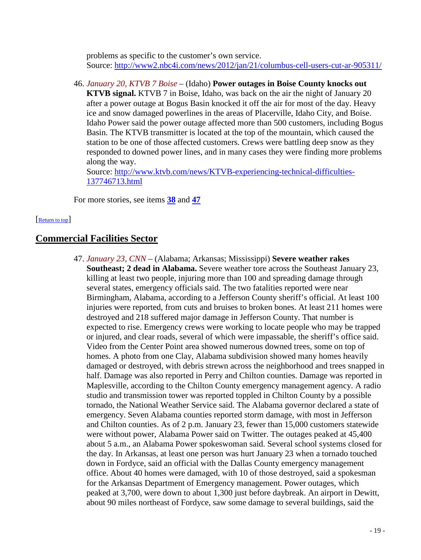problems as specific to the customer's own service. Source:<http://www2.nbc4i.com/news/2012/jan/21/columbus-cell-users-cut-ar-905311/>

46. *January 20, KTVB 7 Boise* – (Idaho) **Power outages in Boise County knocks out KTVB signal.** KTVB 7 in Boise, Idaho, was back on the air the night of January 20 after a power outage at Bogus Basin knocked it off the air for most of the day. Heavy ice and snow damaged powerlines in the areas of Placerville, Idaho City, and Boise. Idaho Power said the power outage affected more than 500 customers, including Bogus Basin. The KTVB transmitter is located at the top of the mountain, which caused the station to be one of those affected customers. Crews were battling deep snow as they responded to downed power lines, and in many cases they were finding more problems along the way.

Source: [http://www.ktvb.com/news/KTVB-experiencing-technical-difficulties-](http://www.ktvb.com/news/KTVB-experiencing-technical-difficulties-137746713.html)[137746713.html](http://www.ktvb.com/news/KTVB-experiencing-technical-difficulties-137746713.html)

<span id="page-18-1"></span>For more stories, see items **[38](#page-14-2)** and **[47](#page-18-0)**

#### [\[Return to top\]](#page-0-1)

# <span id="page-18-0"></span>**Commercial Facilities Sector**

47. *January 23, CNN* – (Alabama; Arkansas; Mississippi) **Severe weather rakes Southeast; 2 dead in Alabama.** Severe weather tore across the Southeast January 23, killing at least two people, injuring more than 100 and spreading damage through several states, emergency officials said. The two fatalities reported were near Birmingham, Alabama, according to a Jefferson County sheriff's official. At least 100 injuries were reported, from cuts and bruises to broken bones. At least 211 homes were destroyed and 218 suffered major damage in Jefferson County. That number is expected to rise. Emergency crews were working to locate people who may be trapped or injured, and clear roads, several of which were impassable, the sheriff's office said. Video from the Center Point area showed numerous downed trees, some on top of homes. A photo from one Clay, Alabama subdivision showed many homes heavily damaged or destroyed, with debris strewn across the neighborhood and trees snapped in half. Damage was also reported in Perry and Chilton counties. Damage was reported in Maplesville, according to the Chilton County emergency management agency. A radio studio and transmission tower was reported toppled in Chilton County by a possible tornado, the National Weather Service said. The Alabama governor declared a state of emergency. Seven Alabama counties reported storm damage, with most in Jefferson and Chilton counties. As of 2 p.m. January 23, fewer than 15,000 customers statewide were without power, Alabama Power said on Twitter. The outages peaked at 45,400 about 5 a.m., an Alabama Power spokeswoman said. Several school systems closed for the day. In Arkansas, at least one person was hurt January 23 when a tornado touched down in Fordyce, said an official with the Dallas County emergency management office. About 40 homes were damaged, with 10 of those destroyed, said a spokesman for the Arkansas Department of Emergency management. Power outages, which peaked at 3,700, were down to about 1,300 just before daybreak. An airport in Dewitt, about 90 miles northeast of Fordyce, saw some damage to several buildings, said the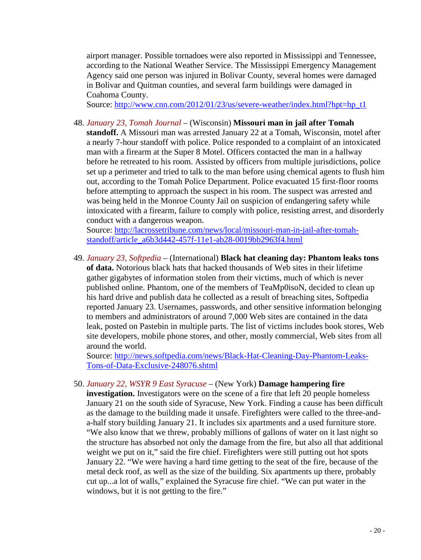airport manager. Possible tornadoes were also reported in Mississippi and Tennessee, according to the National Weather Service. The Mississippi Emergency Management Agency said one person was injured in Bolivar County, several homes were damaged in Bolivar and Quitman counties, and several farm buildings were damaged in Coahoma County.

Source: [http://www.cnn.com/2012/01/23/us/severe-weather/index.html?hpt=hp\\_t1](http://www.cnn.com/2012/01/23/us/severe-weather/index.html?hpt=hp_t1)

48. *January 23, Tomah Journal* – (Wisconsin) **Missouri man in jail after Tomah** 

**standoff.** A Missouri man was arrested January 22 at a Tomah, Wisconsin, motel after a nearly 7-hour standoff with police. Police responded to a complaint of an intoxicated man with a firearm at the Super 8 Motel. Officers contacted the man in a hallway before he retreated to his room. Assisted by officers from multiple jurisdictions, police set up a perimeter and tried to talk to the man before using chemical agents to flush him out, according to the Tomah Police Department. Police evacuated 15 first-floor rooms before attempting to approach the suspect in his room. The suspect was arrested and was being held in the Monroe County Jail on suspicion of endangering safety while intoxicated with a firearm, failure to comply with police, resisting arrest, and disorderly conduct with a dangerous weapon.

Source: [http://lacrossetribune.com/news/local/missouri-man-in-jail-after-tomah](http://lacrossetribune.com/news/local/missouri-man-in-jail-after-tomah-standoff/article_a6b3d442-457f-11e1-ab28-0019bb2963f4.html)[standoff/article\\_a6b3d442-457f-11e1-ab28-0019bb2963f4.html](http://lacrossetribune.com/news/local/missouri-man-in-jail-after-tomah-standoff/article_a6b3d442-457f-11e1-ab28-0019bb2963f4.html)

49. *January 23, Softpedia* – (International) **Black hat cleaning day: Phantom leaks tons of data.** Notorious black hats that hacked thousands of Web sites in their lifetime gather gigabytes of information stolen from their victims, much of which is never published online. Phantom, one of the members of TeaMp0isoN, decided to clean up his hard drive and publish data he collected as a result of breaching sites, Softpedia reported January 23. Usernames, passwords, and other sensitive information belonging to members and administrators of around 7,000 Web sites are contained in the data leak, posted on Pastebin in multiple parts. The list of victims includes book stores, Web site developers, mobile phone stores, and other, mostly commercial, Web sites from all around the world.

Source: [http://news.softpedia.com/news/Black-Hat-Cleaning-Day-Phantom-Leaks-](http://news.softpedia.com/news/Black-Hat-Cleaning-Day-Phantom-Leaks-Tons-of-Data-Exclusive-248076.shtml)[Tons-of-Data-Exclusive-248076.shtml](http://news.softpedia.com/news/Black-Hat-Cleaning-Day-Phantom-Leaks-Tons-of-Data-Exclusive-248076.shtml)

50. *January 22, WSYR 9 East Syracuse* – (New York) **Damage hampering fire** 

**investigation.** Investigators were on the scene of a fire that left 20 people homeless January 21 on the south side of Syracuse, New York. Finding a cause has been difficult as the damage to the building made it unsafe. Firefighters were called to the three-anda-half story building January 21. It includes six apartments and a used furniture store. "We also know that we threw, probably millions of gallons of water on it last night so the structure has absorbed not only the damage from the fire, but also all that additional weight we put on it," said the fire chief. Firefighters were still putting out hot spots January 22. "We were having a hard time getting to the seat of the fire, because of the metal deck roof, as well as the size of the building. Six apartments up there, probably cut up...a lot of walls," explained the Syracuse fire chief. "We can put water in the windows, but it is not getting to the fire."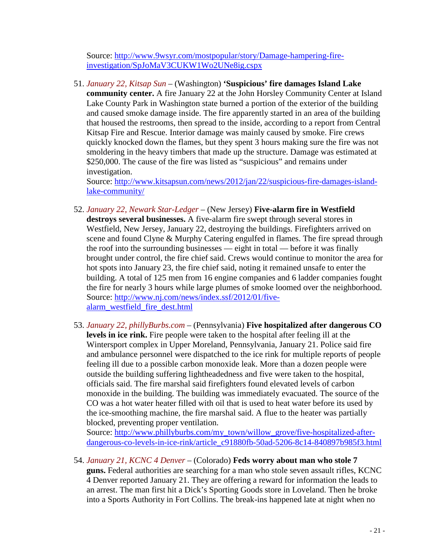Source: [http://www.9wsyr.com/mostpopular/story/Damage-hampering-fire](http://www.9wsyr.com/mostpopular/story/Damage-hampering-fire-investigation/SpJoMaV3CUKW1Wo2UNe8ig.cspx)[investigation/SpJoMaV3CUKW1Wo2UNe8ig.cspx](http://www.9wsyr.com/mostpopular/story/Damage-hampering-fire-investigation/SpJoMaV3CUKW1Wo2UNe8ig.cspx)

51. *January 22, Kitsap Sun* – (Washington) **'Suspicious' fire damages Island Lake community center.** A fire January 22 at the John Horsley Community Center at Island Lake County Park in Washington state burned a portion of the exterior of the building and caused smoke damage inside. The fire apparently started in an area of the building that housed the restrooms, then spread to the inside, according to a report from Central Kitsap Fire and Rescue. Interior damage was mainly caused by smoke. Fire crews quickly knocked down the flames, but they spent 3 hours making sure the fire was not smoldering in the heavy timbers that made up the structure. Damage was estimated at \$250,000. The cause of the fire was listed as "suspicious" and remains under investigation.

Source: [http://www.kitsapsun.com/news/2012/jan/22/suspicious-fire-damages-island](http://www.kitsapsun.com/news/2012/jan/22/suspicious-fire-damages-island-lake-community/)[lake-community/](http://www.kitsapsun.com/news/2012/jan/22/suspicious-fire-damages-island-lake-community/)

- 52. *January 22, Newark Star-Ledger* (New Jersey) **Five-alarm fire in Westfield destroys several businesses.** A five-alarm fire swept through several stores in Westfield, New Jersey, January 22, destroying the buildings. Firefighters arrived on scene and found Clyne & Murphy Catering engulfed in flames. The fire spread through the roof into the surrounding businesses — eight in total — before it was finally brought under control, the fire chief said. Crews would continue to monitor the area for hot spots into January 23, the fire chief said, noting it remained unsafe to enter the building. A total of 125 men from 16 engine companies and 6 ladder companies fought the fire for nearly 3 hours while large plumes of smoke loomed over the neighborhood. Source: [http://www.nj.com/news/index.ssf/2012/01/five](http://www.nj.com/news/index.ssf/2012/01/five-alarm_westfield_fire_dest.html)[alarm\\_westfield\\_fire\\_dest.html](http://www.nj.com/news/index.ssf/2012/01/five-alarm_westfield_fire_dest.html)
- 53. *January 22, phillyBurbs.com* (Pennsylvania) **Five hospitalized after dangerous CO levels in ice rink.** Fire people were taken to the hospital after feeling ill at the Wintersport complex in Upper Moreland, Pennsylvania, January 21. Police said fire and ambulance personnel were dispatched to the ice rink for multiple reports of people feeling ill due to a possible carbon monoxide leak. More than a dozen people were outside the building suffering lightheadedness and five were taken to the hospital, officials said. The fire marshal said firefighters found elevated levels of carbon monoxide in the building. The building was immediately evacuated. The source of the CO was a hot water heater filled with oil that is used to heat water before its used by the ice-smoothing machine, the fire marshal said. A flue to the heater was partially blocked, preventing proper ventilation.

Source: [http://www.phillyburbs.com/my\\_town/willow\\_grove/five-hospitalized-after](http://www.phillyburbs.com/my_town/willow_grove/five-hospitalized-after-dangerous-co-levels-in-ice-rink/article_c91880fb-50ad-5206-8c14-840897b985f3.html)[dangerous-co-levels-in-ice-rink/article\\_c91880fb-50ad-5206-8c14-840897b985f3.html](http://www.phillyburbs.com/my_town/willow_grove/five-hospitalized-after-dangerous-co-levels-in-ice-rink/article_c91880fb-50ad-5206-8c14-840897b985f3.html)

54. *January 21, KCNC 4 Denver* – (Colorado) **Feds worry about man who stole 7 guns.** Federal authorities are searching for a man who stole seven assault rifles, KCNC 4 Denver reported January 21. They are offering a reward for information the leads to an arrest. The man first hit a Dick's Sporting Goods store in Loveland. Then he broke into a Sports Authority in Fort Collins. The break-ins happened late at night when no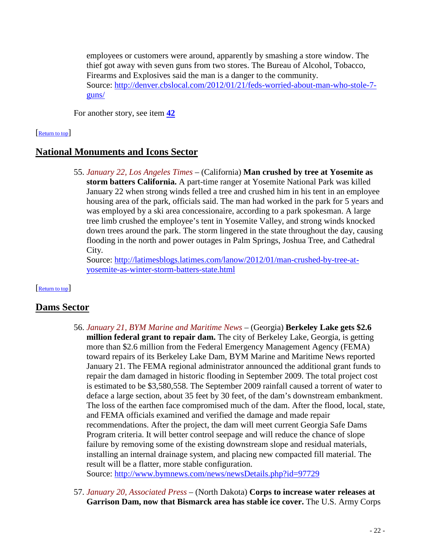employees or customers were around, apparently by smashing a store window. The thief got away with seven guns from two stores. The Bureau of Alcohol, Tobacco, Firearms and Explosives said the man is a danger to the community. Source: [http://denver.cbslocal.com/2012/01/21/feds-worried-about-man-who-stole-7](http://denver.cbslocal.com/2012/01/21/feds-worried-about-man-who-stole-7-guns/) [guns/](http://denver.cbslocal.com/2012/01/21/feds-worried-about-man-who-stole-7-guns/)

<span id="page-21-1"></span>For another story, see item **[42](#page-16-1)**

#### [\[Return to top\]](#page-0-1)

# **National Monuments and Icons Sector**

55. *January 22, Los Angeles Times* – (California) **Man crushed by tree at Yosemite as storm batters California.** A part-time ranger at Yosemite National Park was killed January 22 when strong winds felled a tree and crushed him in his tent in an employee housing area of the park, officials said. The man had worked in the park for 5 years and was employed by a ski area concessionaire, according to a park spokesman. A large tree limb crushed the employee's tent in Yosemite Valley, and strong winds knocked down trees around the park. The storm lingered in the state throughout the day, causing flooding in the north and power outages in Palm Springs, Joshua Tree, and Cathedral City.

<span id="page-21-0"></span>Source: [http://latimesblogs.latimes.com/lanow/2012/01/man-crushed-by-tree-at](http://latimesblogs.latimes.com/lanow/2012/01/man-crushed-by-tree-at-yosemite-as-winter-storm-batters-state.html)[yosemite-as-winter-storm-batters-state.html](http://latimesblogs.latimes.com/lanow/2012/01/man-crushed-by-tree-at-yosemite-as-winter-storm-batters-state.html)

#### [\[Return to top\]](#page-0-1)

# **Dams Sector**

- 56. *January 21, BYM Marine and Maritime News* (Georgia) **Berkeley Lake gets \$2.6 million federal grant to repair dam.** The city of Berkeley Lake, Georgia, is getting more than \$2.6 million from the Federal Emergency Management Agency (FEMA) toward repairs of its Berkeley Lake Dam, BYM Marine and Maritime News reported January 21. The FEMA regional administrator announced the additional grant funds to repair the dam damaged in historic flooding in September 2009. The total project cost is estimated to be \$3,580,558. The September 2009 rainfall caused a torrent of water to deface a large section, about 35 feet by 30 feet, of the dam's downstream embankment. The loss of the earthen face compromised much of the dam. After the flood, local, state, and FEMA officials examined and verified the damage and made repair recommendations. After the project, the dam will meet current Georgia Safe Dams Program criteria. It will better control seepage and will reduce the chance of slope failure by removing some of the existing downstream slope and residual materials, installing an internal drainage system, and placing new compacted fill material. The result will be a flatter, more stable configuration. Source:<http://www.bymnews.com/news/newsDetails.php?id=97729>
- 57. *January 20, Associated Press* (North Dakota) **Corps to increase water releases at Garrison Dam, now that Bismarck area has stable ice cover.** The U.S. Army Corps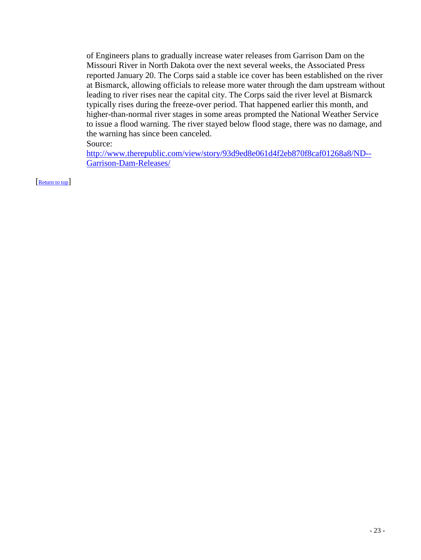of Engineers plans to gradually increase water releases from Garrison Dam on the Missouri River in North Dakota over the next several weeks, the Associated Press reported January 20. The Corps said a stable ice cover has been established on the river at Bismarck, allowing officials to release more water through the dam upstream without leading to river rises near the capital city. The Corps said the river level at Bismarck typically rises during the freeze-over period. That happened earlier this month, and higher-than-normal river stages in some areas prompted the National Weather Service to issue a flood warning. The river stayed below flood stage, there was no damage, and the warning has since been canceled.

Source:

[http://www.therepublic.com/view/story/93d9ed8e061d4f2eb870f8caf01268a8/ND--](http://www.therepublic.com/view/story/93d9ed8e061d4f2eb870f8caf01268a8/ND--Garrison-Dam-Releases/) [Garrison-Dam-Releases/](http://www.therepublic.com/view/story/93d9ed8e061d4f2eb870f8caf01268a8/ND--Garrison-Dam-Releases/)

[\[Return to top\]](#page-0-1)